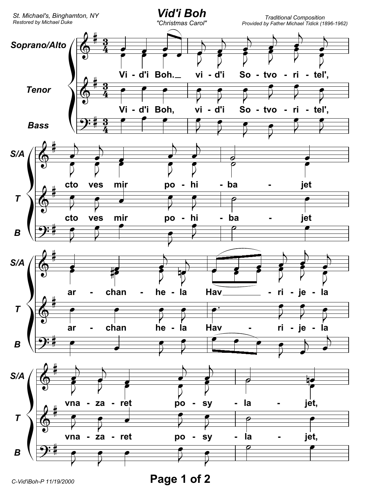